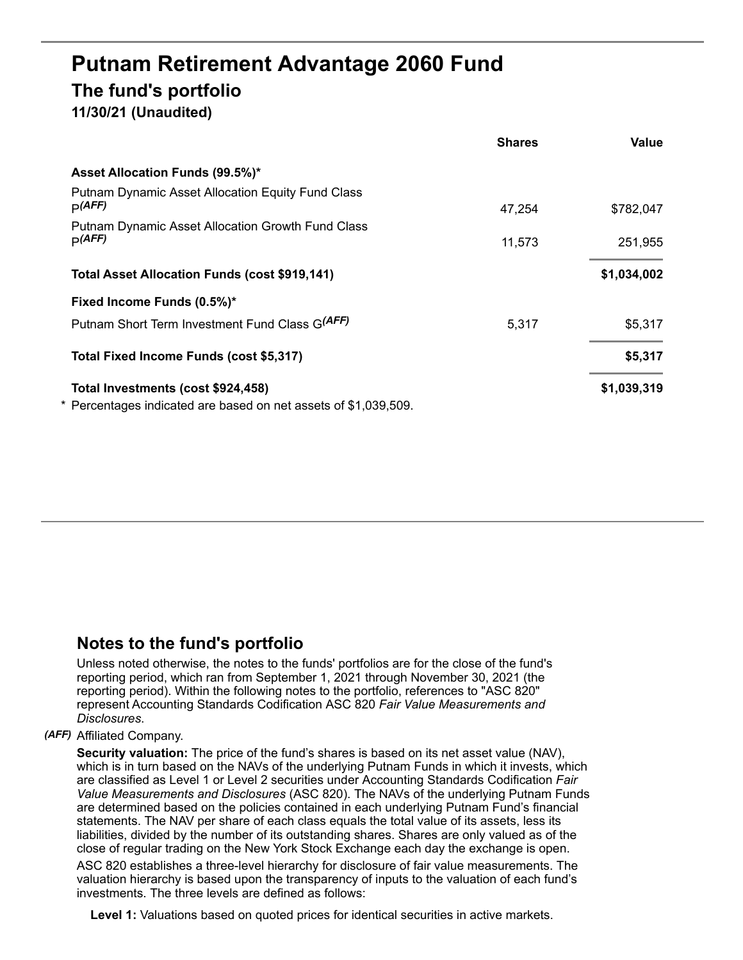# **Putnam Retirement Advantage 2060 Fund The fund's portfolio**

# **11/30/21 (Unaudited)**

|                                                                    | <b>Shares</b> | Value       |
|--------------------------------------------------------------------|---------------|-------------|
| Asset Allocation Funds (99.5%)*                                    |               |             |
| <b>Putnam Dynamic Asset Allocation Equity Fund Class</b><br>p(AFF) | 47,254        | \$782,047   |
| <b>Putnam Dynamic Asset Allocation Growth Fund Class</b>           |               |             |
| p(AFF)                                                             | 11,573        | 251,955     |
| <b>Total Asset Allocation Funds (cost \$919,141)</b>               |               | \$1,034,002 |
| Fixed Income Funds (0.5%)*                                         |               |             |
| Putnam Short Term Investment Fund Class G(AFF)                     | 5,317         | \$5,317     |
| Total Fixed Income Funds (cost \$5,317)                            |               | \$5,317     |
| Total Investments (cost \$924,458)                                 |               | \$1,039,319 |
| * Percentages indicated are based on net assets of \$1,039,509.    |               |             |

## **Notes to the fund's portfolio**

Unless noted otherwise, the notes to the funds' portfolios are for the close of the fund's reporting period, which ran from September 1, 2021 through November 30, 2021 (the reporting period). Within the following notes to the portfolio, references to "ASC 820" represent Accounting Standards Codification ASC 820 *Fair Value Measurements and Disclosures*.

### *(AFF)* Affiliated Company.

**Security valuation:** The price of the fund's shares is based on its net asset value (NAV), which is in turn based on the NAVs of the underlying Putnam Funds in which it invests, which are classified as Level 1 or Level 2 securities under Accounting Standards Codification *Fair Value Measurements and Disclosures* (ASC 820). The NAVs of the underlying Putnam Funds are determined based on the policies contained in each underlying Putnam Fund's financial statements. The NAV per share of each class equals the total value of its assets, less its liabilities, divided by the number of its outstanding shares. Shares are only valued as of the close of regular trading on the New York Stock Exchange each day the exchange is open.

ASC 820 establishes a three-level hierarchy for disclosure of fair value measurements. The valuation hierarchy is based upon the transparency of inputs to the valuation of each fund's investments. The three levels are defined as follows:

**Level 1:** Valuations based on quoted prices for identical securities in active markets.